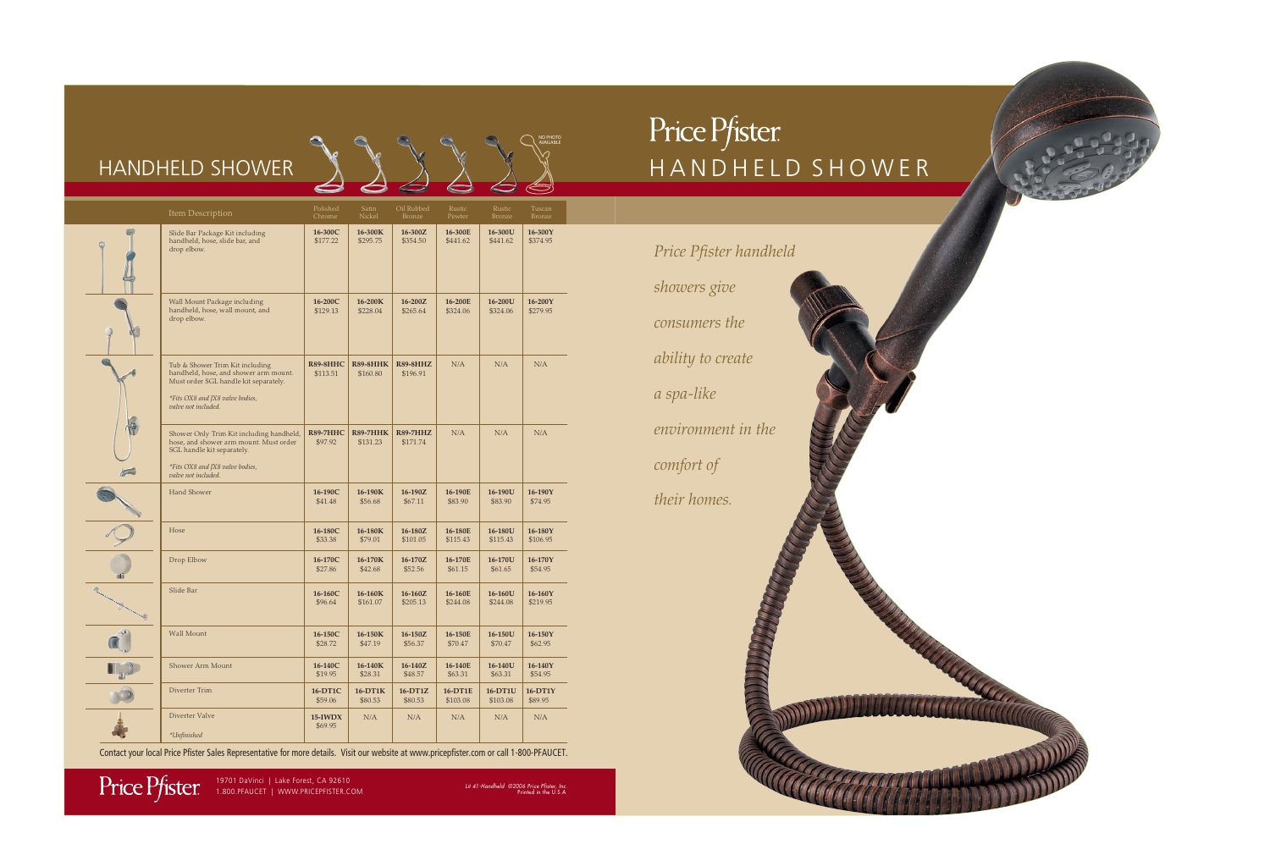| Price Pfister handheld |  |
|------------------------|--|
| showers give           |  |
| consumers the          |  |
| ability to create      |  |
| a spa-like             |  |
| environment in the     |  |
| comfort of             |  |
| their homes.           |  |
|                        |  |
|                        |  |
|                        |  |
|                        |  |
|                        |  |
|                        |  |
|                        |  |
| 444                    |  |

## HANDHELD SHOWER

Price Pfister

Lit 41-Handheld ©2006 Price Pfister, Inc.<br>Printed in the U.S.A



## Price Pfister HANDHELD SHOWER

| Item Description                                                                                                                                                            | Polished<br>Chrome         | Satin<br>Nickel             | Oil Rubbed<br>Bronze        | Rustic<br>Pewter           | Rustic<br>Bronze    | Tuscan<br>Bronze     |
|-----------------------------------------------------------------------------------------------------------------------------------------------------------------------------|----------------------------|-----------------------------|-----------------------------|----------------------------|---------------------|----------------------|
| Slide Bar Package Kit including<br>handheld, hose, slide bar, and<br>drop elbow.                                                                                            | 16-300C<br>\$177.22        | 16-300K<br>\$295.75         | 16-300Z<br>\$354.50         | 16-300E<br>\$441.62        | 16-300U<br>\$441.62 | 16-300Y<br>\$374.95  |
| Wall Mount Package including<br>handheld, hose, wall mount, and<br>drop elbow.                                                                                              | 16-200C<br>\$129.13        | 16-200K<br>\$228.04         | 16-200Z<br>\$265.64         | 16-200E<br>\$324.06        | 16-200U<br>\$324.06 | 16-200Y<br>\$279.95  |
| Tub & Shower Trim Kit including<br>handheld, hose, and shower arm mount.<br>Must order SGL handle kit separately.<br>*Fits OX8 and JX8 valve bodies,<br>valve not included. | R89-8HHC<br>\$113.51       | <b>R89-8HHK</b><br>\$160.80 | <b>R89-8HHZ</b><br>\$196.91 | N/A                        | N/A                 | N/A                  |
| Shower Only Trim Kit including handheld,<br>hose, and shower arm mount. Must order<br>SGL handle kit separately.<br>*Fits OX8 and JX8 valve bodies,<br>valve not included.  | <b>R89-7HHC</b><br>\$97.92 | <b>R89-7HHK</b><br>\$131.23 | <b>R89-7HHZ</b><br>\$171.74 | N/A                        | N/A                 | N/A                  |
| Hand Shower                                                                                                                                                                 | 16-190C<br>\$41.48         | 16-190K<br>\$56.68          | 16-190Z<br>\$67.11          | 16-190E<br>\$83.90         | 16-190U<br>\$83.90  | 16-190Y<br>\$74.95   |
| Hose                                                                                                                                                                        | 16-180C<br>\$33.38         | 16-180K<br>\$79.01          | 16-180Z<br>\$101.05         | 16-180E<br>\$115.43        | 16-180U<br>\$115.43 | 16-180Y<br>\$106.95  |
| Drop Elbow                                                                                                                                                                  | 16-170C<br>\$27.86         | 16-170K<br>\$42.68          | 16-170Z<br>\$52.56          | 16-170E<br>\$61.15         | 16-170U<br>\$61.65  | 16-170Y<br>\$54.95   |
| Slide Bar                                                                                                                                                                   | 16-160C<br>\$96.64         | 16-160K<br>\$161.07         | $16 - 160Z$<br>\$205.13     | 16-160E<br>\$244.08        | 16-160U<br>\$244.08 | 16-160Y<br>\$219.95  |
| <b>Wall Mount</b>                                                                                                                                                           | 16-150C<br>\$28.72         | 16-150K<br>\$47.19          | 16-150Z<br>\$56.37          | 16-150E<br>\$70.47         | 16-150U<br>\$70.47  | 16-150Y<br>\$62.95   |
| Shower Arm Mount                                                                                                                                                            | 16-140C<br>\$19.95         | 16-140K<br>\$28.31          | 16-140Z<br>\$48.57          | 16-140E<br>\$63.31         | 16-140U<br>\$63.31  | 16-140Y<br>\$54.95   |
| Diverter Trim                                                                                                                                                               | 16-DT1C<br>\$59.06         | 16-DT1K<br>\$80.53          | $16-DT1Z$<br>\$80.53        | <b>16-DT1E</b><br>\$103.08 | 16-DT1U<br>\$103.08 | $16-DT1Y$<br>\$89.95 |
| Diverter Valve<br>*Unfinished                                                                                                                                               | $15$ -IWDX<br>\$69.95      | $\rm N/A$                   | $\rm N/A$                   | N/A                        | N/A                 | N/A                  |
|                                                                                                                                                                             |                            |                             |                             |                            |                     |                      |

Contact your local Price Pfister Sales Representative for more details. Visit our website at www.pricepfister.com or call 1-800-PFAUCET.

NO PHOTO AVAILABLE